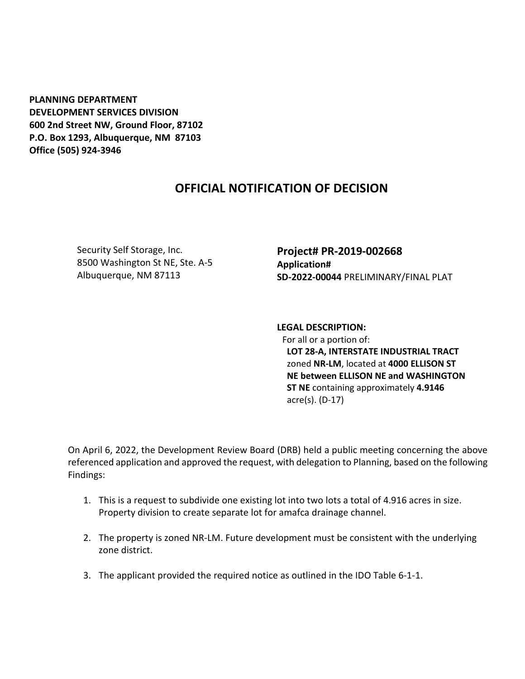**PLANNING DEPARTMENT DEVELOPMENT SERVICES DIVISION 600 2nd Street NW, Ground Floor, 87102 P.O. Box 1293, Albuquerque, NM 87103 Office (505) 924-3946** 

## **OFFICIAL NOTIFICATION OF DECISION**

Security Self Storage, Inc. 8500 Washington St NE, Ste. A-5 Albuquerque, NM 87113

**Project# PR-2019-002668 Application# SD-2022-00044** PRELIMINARY/FINAL PLAT

**LEGAL DESCRIPTION:**

For all or a portion of: **LOT 28-A, INTERSTATE INDUSTRIAL TRACT**  zoned **NR-LM**, located at **4000 ELLISON ST NE between ELLISON NE and WASHINGTON ST NE** containing approximately **4.9146**  acre(s). (D-17)

On April 6, 2022, the Development Review Board (DRB) held a public meeting concerning the above referenced application and approved the request, with delegation to Planning, based on the following Findings:

- 1. This is a request to subdivide one existing lot into two lots a total of 4.916 acres in size. Property division to create separate lot for amafca drainage channel.
- 2. The property is zoned NR-LM. Future development must be consistent with the underlying zone district.
- 3. The applicant provided the required notice as outlined in the IDO Table 6-1-1.